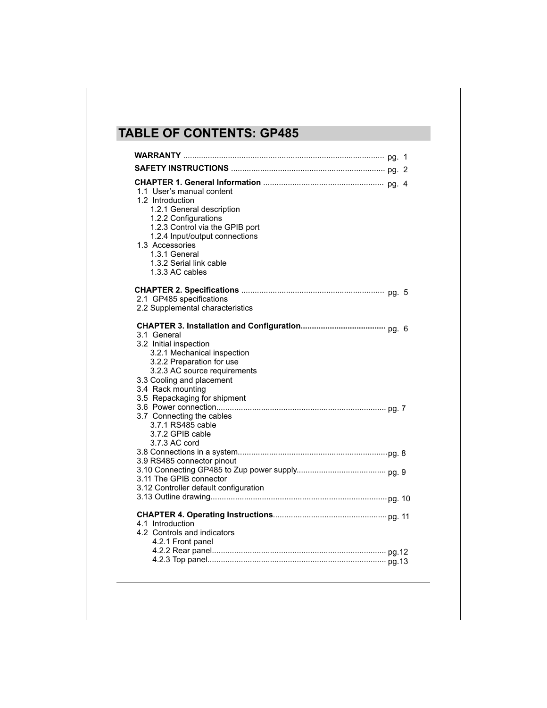# **TABLE OF CONTENTS: GP485**

| 1.1 User's manual content<br>1.2 Introduction<br>1.2.1 General description<br>1.2.2 Configurations<br>1.2.3 Control via the GPIB port<br>1.2.4 Input/output connections<br>1.3 Accessories<br>1.3.1 General<br>1.3.2 Serial link cable<br>1.3.3 AC cables                                 |  |
|-------------------------------------------------------------------------------------------------------------------------------------------------------------------------------------------------------------------------------------------------------------------------------------------|--|
| 2.1 GP485 specifications<br>2.2 Supplemental characteristics                                                                                                                                                                                                                              |  |
| 3.1 General<br>3.2 Initial inspection<br>3.2.1 Mechanical inspection<br>3.2.2 Preparation for use<br>3.2.3 AC source requirements<br>3.3 Cooling and placement<br>3.4 Rack mounting<br>3.5 Repackaging for shipment<br>3.7 Connecting the cables<br>3.7.1 RS485 cable<br>3.7.2 GPIB cable |  |
| 3.7.3 AC cord<br>3.9 RS485 connector pinout<br>3.11 The GPIB connector<br>3.12 Controller default configuration                                                                                                                                                                           |  |
| 4.1 Introduction<br>4.2 Controls and indicators<br>4.2.1 Front panel                                                                                                                                                                                                                      |  |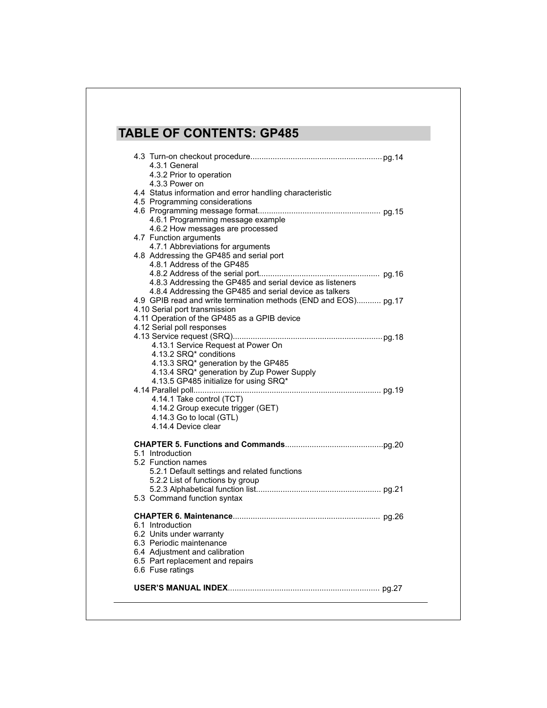# **TABLE OF CONTENTS: GP485**

| 4.3.1 General<br>4.3.2 Prior to operation                                     |
|-------------------------------------------------------------------------------|
| 4.3.3 Power on<br>4.4 Status information and error handling characteristic    |
| 4.5 Programming considerations                                                |
| 4.6.1 Programming message example<br>4.6.2 How messages are processed         |
| 4.7 Function arguments                                                        |
| 4.7.1 Abbreviations for arguments                                             |
| 4.8 Addressing the GP485 and serial port<br>4.8.1 Address of the GP485        |
|                                                                               |
| 4.8.3 Addressing the GP485 and serial device as listeners                     |
| 4.8.4 Addressing the GP485 and serial device as talkers                       |
| 4.9 GPIB read and write termination methods (END and EOS) pg.17               |
| 4.10 Serial port transmission<br>4.11 Operation of the GP485 as a GPIB device |
| 4.12 Serial poll responses                                                    |
|                                                                               |
| 4.13.1 Service Request at Power On                                            |
| 4.13.2 SRQ* conditions<br>4.13.3 SRQ* generation by the GP485                 |
| 4.13.4 SRQ* generation by Zup Power Supply                                    |
| 4.13.5 GP485 initialize for using SRQ*                                        |
|                                                                               |
| 4.14.1 Take control (TCT)                                                     |
| 4.14.2 Group execute trigger (GET)<br>4.14.3 Go to local (GTL)                |
| 4.14.4 Device clear                                                           |
|                                                                               |
|                                                                               |
| 5.1 Introduction<br>5.2 Function names                                        |
| 5.2.1 Default settings and related functions                                  |
| 5.2.2 List of functions by group                                              |
|                                                                               |
| 5.3 Command function syntax                                                   |
|                                                                               |
| 6.1 Introduction                                                              |
| 6.2 Units under warranty                                                      |
| 6.3 Periodic maintenance<br>6.4 Adjustment and calibration                    |
| 6.5 Part replacement and repairs                                              |
| 6.6 Fuse ratings                                                              |
|                                                                               |
|                                                                               |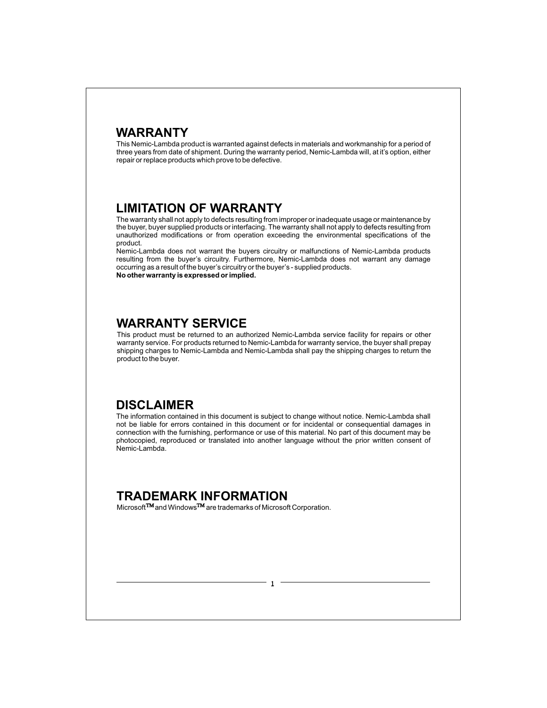## **WARRANTY**

This Nemic-Lambda product is warranted against defects in materials and workmanship for a period of three years from date of shipment. During the warranty period, Nemic-Lambda will, at it's option, either repair or replace products which prove to be defective.

## **LIMITATION OF WARRANTY**

The warranty shall not apply to defects resulting from improper or inadequate usage or maintenance by the buyer, buyer supplied products or interfacing. The warranty shall not apply to defects resulting from unauthorized modifications or from operation exceeding the environmental specifications of the product.

Nemic-Lambda does not warrant the buyers circuitry or malfunctions of Nemic-Lambda products resulting from the buyer's circuitry. Furthermore, Nemic-Lambda does not warrant any damage occurring as a result of the buyer's circuitry or the buyer's - supplied products. **No other warranty is expressed or implied.**

**WARRANTY SERVICE**

This product must be returned to an authorized Nemic-Lambda service facility for repairs or other warranty service. For products returned to Nemic-Lambda for warranty service, the buyer shall prepay shipping charges to Nemic-Lambda and Nemic-Lambda shall pay the shipping charges to return the product to the buyer.

## **DISCLAIMER**

The information contained in this document is subject to change without notice. Nemic-Lambda shall not be liable for errors contained in this document or for incidental or consequential damages in connection with the furnishing, performance or use of this material. No part of this document may be photocopied, reproduced or translated into another language without the prior written consent of Nemic-Lambda.

## **TRADEMARK INFORMATION**

Microsoft<sup>TM</sup> and Windows<sup>TM</sup> are trademarks of Microsoft Corporation.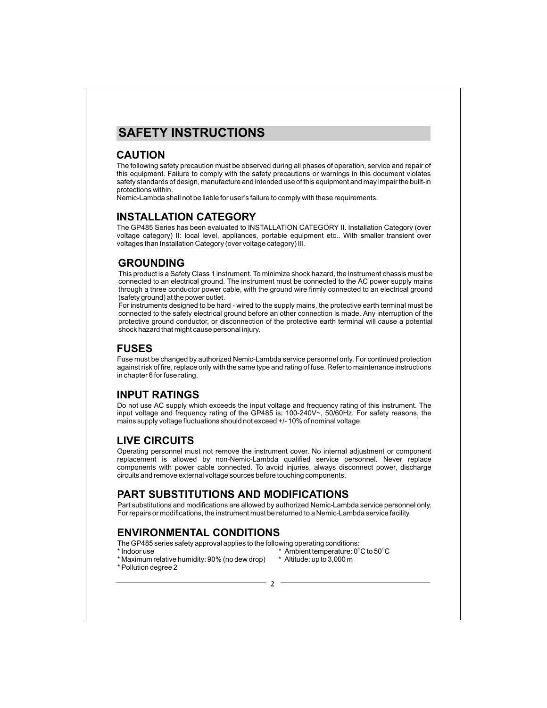## **SAFETY INSTRUCTIONS**

#### **CAUTION**

The following safety precaution must be observed during all phases of operation, service and repair of this equipment. Failure to comply with the safety precautions or warnings in this document violates safety standards of design, manufacture and intended use of this equipment and may impair the built-in protections within.

Nemic-Lambda shall not be liable for user's failure to comply with these requirements.

#### **INSTALLATION CATEGORY**

The GP485 Series has been evaluated to INSTALLATION CATEGORY II. Installation Category (over voltage category) II: local level, appliances, portable equipment etc.. With smaller transient over voltages than Installation Category (over voltage category) III.

#### **GROUNDING**

This product is a Safety Class 1 instrument. To minimize shock hazard, the instrument chassis must be connected to an electrical ground. The instrument must be connected to the AC power supply mains through a three conductor power cable, with the ground wire firmly connected to an electrical ground (safety ground) at the power outlet.

For instruments designed to be hard - wired to the supply mains, the protective earth terminal must be connected to the safety electrical ground before an other connection is made. Any interruption of the protective ground conductor, or disconnection of the protective earth terminal will cause a potential shock hazard that might cause personal injury.

#### **FUSES**

Fuse must be changed by authorized Nemic-Lambda service personnel only. For continued protection against risk of fire, replace only with the same type and rating of fuse. Refer to maintenance instructions in chapter 6 for fuse rating.

## **INPUT RATINGS**

Do not use AC supply which exceeds the input voltage and frequency rating of this instrument. The input voltage and frequency rating of the GP485 is; 100-240V~, 50/60Hz. For safety reasons, the mains supply voltage fluctuations should not exceed +/- 10% of nominal voltage.

#### **LIVE CIRCUITS**

Operating personnel must not remove the instrument cover. No internal adjustment or component replacement is allowed by non-Nemic-Lambda qualified service personnel. Never replace components with power cable connected. To avoid injuries, always disconnect power, discharge circuits and remove external voltage sources before touching components.

## **PART SUBSTITUTIONS AND MODIFICATIONS**

Part substitutions and modifications are allowed by authorized Nemic-Lambda service personnel only. For repairs or modifications, the instrument must be returned to a Nemic-Lambda service facility.

## **ENVIRONMENTAL CONDITIONS**

The GP485 series safety approval applies to the following operating conditions:<br>\* Indoor use the conditions: \* Ambient temperature: 0°  $^*$  Indoor use  $^*$  Ambient temperature: 0 $^{\circ}$ C to 50 $^{\circ}$ C

- 
- \* Maximum relative humidity: 90% (no dew drop) \* Altitude: up to 3,000 m \* Pollution degree 2
- -
-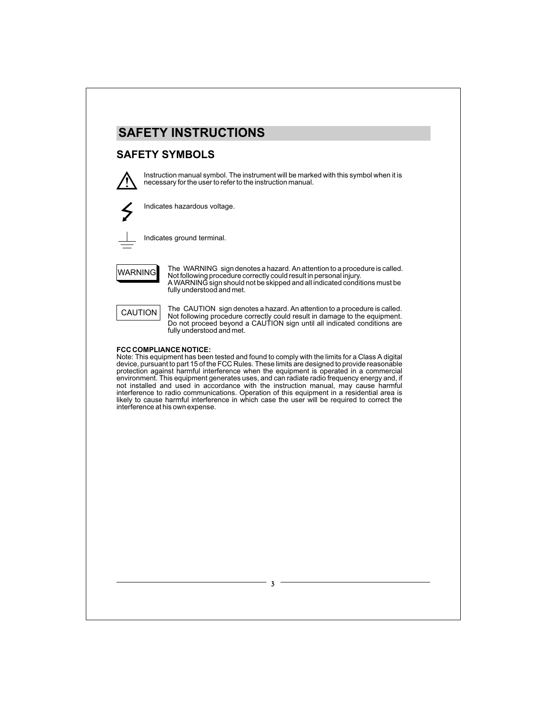

### **SAFETY SYMBOLS**



Instruction manual symbol. The instrument will be marked with this symbol when it is necessary for the user to refer to the instruction manual.



Indicates hazardous voltage.



Indicates ground terminal.

WARNING

The WARNING sign denotes a hazard. An attention to a procedure is called. Not following procedure correctly could result in personal injury. A WARNING sign should not be skipped and all indicated conditions must be fully understood and met.



The CAUTION sign denotes a hazard. An attention to a procedure is called. Not following procedure correctly could result in damage to the equipment. Do not proceed beyond a CAUTION sign until all indicated conditions are fully understood and met.

#### **FCC COMPLIANCE NOTICE:**

Note: This equipment has been tested and found to comply with the limits for a Class A digital device, pursuant to part 15 of the FCC Rules. These limits are designed to provide reasonable protection against harmful interference when the equipment is operated in a commercial environment. This equipment generates uses, and can radiate radio frequency energy and, if not installed and used in accordance with the instruction manual, may cause harmful interference to radio communications. Operation of this equipment in a residential area is likely to cause harmful interference in which case the user will be required to correct the interference at his own expense.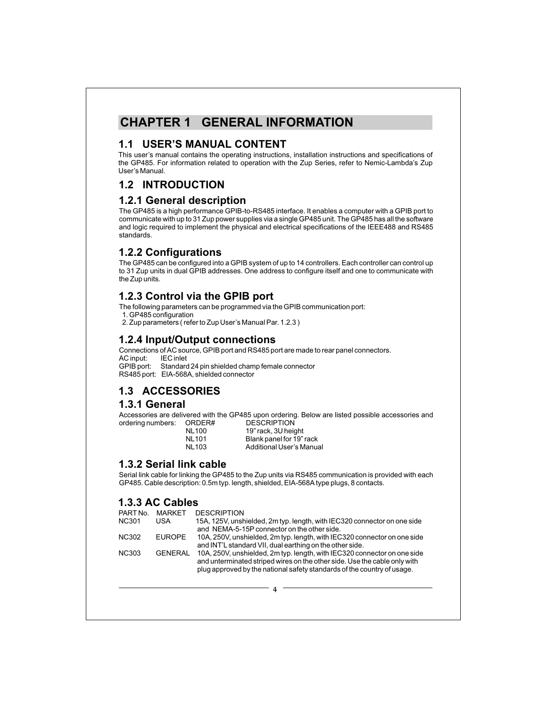## **CHAPTER 1 GENERAL INFORMATION**

#### **1.1 USER'S MANUAL CONTENT**

This user's manual contains the operating instructions, installation instructions and specifications of the GP485. For information related to operation with the Zup Series, refer to Nemic-Lambda's Zup User's Manual.

## **1.2 INTRODUCTION**

#### **1.2.1 General description**

The GP485 is a high performance GPIB-to-RS485 interface. It enables a computer with a GPIB port to communicate with up to 31 Zup power supplies via a single GP485 unit. The GP485 has all the software and logic required to implement the physical and electrical specifications of the IEEE488 and RS485 standards.

### **1.2.2 Configurations**

The GP485 can be configured into a GPIB system of up to 14 controllers. Each controller can control up to 31 Zup units in dual GPIB addresses. One address to configure itself and one to communicate with the Zup units.

#### **1.2.3 Control via the GPIB port**

The following parameters can be programmed via the GPIB communication port:

1. GP485 configuration

2. Zup parameters ( refer to Zup User's Manual Par. 1.2.3 )

#### **1.2.4 Input/Output connections**

Connections of AC source, GPIB port and RS485 port are made to rear panel connectors. AC input: GPIB port: Standard 24 pin shielded champ female connector RS485 port: EIA-568A, shielded connector

## **1.3 ACCESSORIES**

#### **1.3.1 General**

Accessories are delivered with the GP485 upon ordering. Below are listed possible accessories and ordering numbers:

| ORDER#       | DESCRIPTION              |
|--------------|--------------------------|
| <b>NL100</b> | 19" rack, 3U height      |
| <b>NL101</b> | Blank panel for 19" rack |
| <b>NL103</b> | Additional User's Manual |

#### **1.3.2 Serial link cable**

Serial link cable for linking the GP485 to the Zup units via RS485 communication is provided with each GP485. Cable description: 0.5m typ. length, shielded, EIA-568A type plugs, 8 contacts.

#### **1.3.3 AC Cables**

| PART No.     | MARKFT         | <b>DESCRIPTION</b>                                                                                                                                    |
|--------------|----------------|-------------------------------------------------------------------------------------------------------------------------------------------------------|
| NC301        | USA            | 15A, 125V, unshielded, 2m typ. length, with IEC320 connector on one side                                                                              |
|              |                | and NEMA-5-15P connector on the other side.                                                                                                           |
| <b>NC302</b> | <b>EUROPE</b>  | 10A, 250V, unshielded, 2m typ. length, with IEC320 connector on one side                                                                              |
|              |                | and INT'L standard VII, dual earthing on the other side.                                                                                              |
| <b>NC303</b> | <b>GENERAL</b> | 10A, 250V, unshielded, 2m typ. length, with IEC320 connector on one side<br>and unterminated striped wires on the other side. Use the cable only with |
|              |                | plug approved by the national safety standards of the country of usage.                                                                               |

 $\mathbf 4$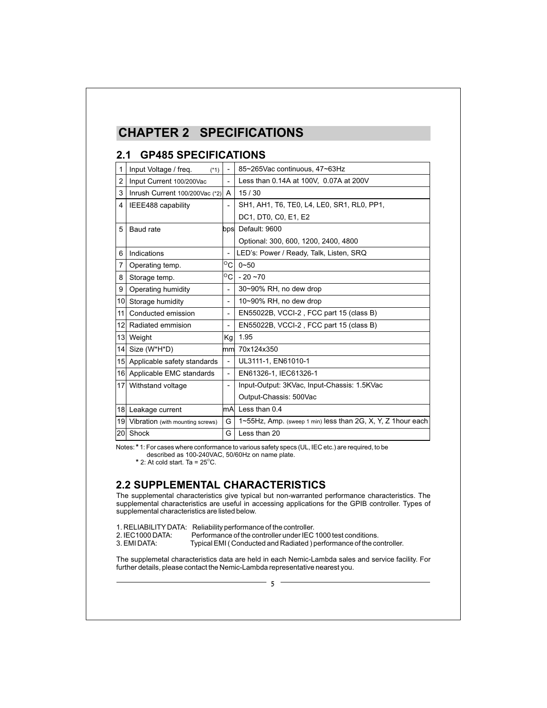# **CHAPTER 2 SPECIFICATIONS**

## **2.1 GP485 SPECIFICATIONS**

| 1               | Input Voltage / freq.<br>$(*1)$  | $\blacksquare$           | 85~265Vac continuous, 47~63Hz                               |  |  |
|-----------------|----------------------------------|--------------------------|-------------------------------------------------------------|--|--|
| $\overline{2}$  | Input Current 100/200Vac         | $\overline{a}$           | Less than 0.14A at 100V, 0.07A at 200V                      |  |  |
| 3               | Inrush Current 100/200Vac (*2)   | A                        | 15/30                                                       |  |  |
|                 |                                  |                          |                                                             |  |  |
| 4               | IEEE488 capability               | ۰                        | SH1, AH1, T6, TE0, L4, LE0, SR1, RL0, PP1,                  |  |  |
|                 |                                  |                          | DC1, DT0, C0, E1, E2                                        |  |  |
| 5               | Baud rate                        |                          | bps Default: 9600                                           |  |  |
|                 |                                  |                          | Optional: 300, 600, 1200, 2400, 4800                        |  |  |
| 6               | Indications                      |                          | LED's: Power / Ready, Talk, Listen, SRQ                     |  |  |
| 7               | Operating temp.                  | $^{\circ}$ cl            | $0 - 50$                                                    |  |  |
| 8               | Storage temp.                    | $^{\circ}$ C             | $-20 - 70$                                                  |  |  |
| 9               | Operating humidity               | $\overline{\phantom{a}}$ | 30~90% RH, no dew drop                                      |  |  |
| 10 <sup>1</sup> | Storage humidity                 | $\overline{a}$           | 10~90% RH, no dew drop                                      |  |  |
| 11 <sup>1</sup> | Conducted emission               | -                        | EN55022B, VCCI-2, FCC part 15 (class B)                     |  |  |
|                 | 12 Radiated emmision             | $\overline{\phantom{0}}$ | EN55022B, VCCI-2, FCC part 15 (class B)                     |  |  |
|                 | 13 Weight                        | Kg                       | 1.95                                                        |  |  |
|                 | 14 Size (W*H*D)                  |                          | mm 70x124x350                                               |  |  |
|                 | 15 Applicable safety standards   | $\overline{\phantom{0}}$ | UL3111-1, EN61010-1                                         |  |  |
|                 | 16 Applicable EMC standards      | $\overline{\phantom{0}}$ | EN61326-1, IEC61326-1                                       |  |  |
|                 | 17 Withstand voltage             | $\overline{\phantom{0}}$ | Input-Output: 3KVac, Input-Chassis: 1.5KVac                 |  |  |
|                 |                                  |                          | Output-Chassis: 500Vac                                      |  |  |
| 18              | Leakage current                  | lmAl                     | Less than 0.4                                               |  |  |
| 19              | Vibration (with mounting screws) | G                        | 1~55Hz, Amp. (sweep 1 min) less than 2G, X, Y, Z 1hour each |  |  |
| 20 <sup>1</sup> | Shock                            | G                        | Less than 20                                                |  |  |

Notes: 1: For cases where conformance to various safety specs (UL, IEC etc.) are required, to be **\***

described as 100-240VAC, 50/60Hz on name plate.  $*$  2: At cold start. Ta = 25 $^{\circ}$ C.

## **2.2 SUPPLEMENTAL CHARACTERISTICS**

The supplemental characteristics give typical but non-warranted performance characteristics. The supplemental characteristics are useful in accessing applications for the GPIB controller. Types of supplemental characteristics are listed below.

|                  | 1. RELIABILITY DATA: Reliability performance of the controller.     |
|------------------|---------------------------------------------------------------------|
| 2. IEC1000 DATA: | Performance of the controller under IEC 1000 test conditions.       |
| 3. EMI DATA:     | Typical EMI (Conducted and Radiated) performance of the controller. |

The supplemetal characteristics data are held in each Nemic-Lambda sales and service facility. For further details, please contact the Nemic-Lambda representative nearest you.

 $\overline{5}$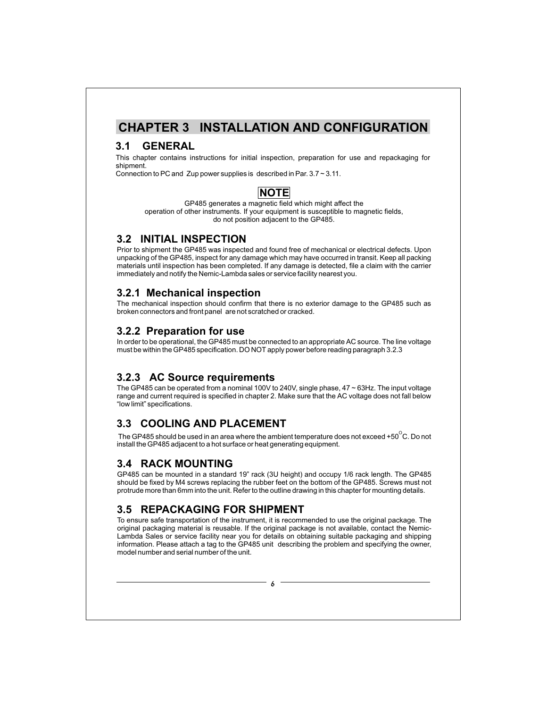## **CHAPTER 3 INSTALLATION AND CONFIGURATION**

## **3.1 GENERAL**

This chapter contains instructions for initial inspection, preparation for use and repackaging for shipment.

Connection to PC and Zup power supplies is described in Par. 3.7 ~ 3.11.

### **NOTE**

GP485 generates a magnetic field which might affect the operation of other instruments. If your equipment is susceptible to magnetic fields, do not position adjacent to the GP485.

### **3.2 INITIAL INSPECTION**

Prior to shipment the GP485 was inspected and found free of mechanical or electrical defects. Upon unpacking of the GP485, inspect for any damage which may have occurred in transit. Keep all packing materials until inspection has been completed. If any damage is detected, file a claim with the carrier immediately and notify the Nemic-Lambda sales or service facility nearest you.

#### **3.2.1 Mechanical inspection**

The mechanical inspection should confirm that there is no exterior damage to the GP485 such as broken connectors and front panel are not scratched or cracked.

### **3.2.2 Preparation for use**

In order to be operational, the GP485 must be connected to an appropriate AC source. The line voltage must be within the GP485 specification. DO NOT apply power before reading paragraph 3.2.3

## **3.2.3 AC Source requirements**

The GP485 can be operated from a nominal 100V to 240V, single phase, 47 ~ 63Hz. The input voltage range and current required is specified in chapter 2. Make sure that the AC voltage does not fall below "low limit" specifications.

## **3.3 COOLING AND PLACEMENT**

The GP485 should be used in an area where the ambient temperature does not exceed +50 $^{\circ}$ C. Do not install the GP485 adjacent to a hot surface or heat generating equipment.

## **3.4 RACK MOUNTING**

GP485 can be mounted in a standard 19" rack (3U height) and occupy 1/6 rack length. The GP485 should be fixed by M4 screws replacing the rubber feet on the bottom of the GP485. Screws must not protrude more than 6mm into the unit. Refer to the outline drawing in this chapter for mounting details.

## **3.5 REPACKAGING FOR SHIPMENT**

To ensure safe transportation of the instrument, it is recommended to use the original package. The original packaging material is reusable. If the original package is not available, contact the Nemic-Lambda Sales or service facility near you for details on obtaining suitable packaging and shipping information. Please attach a tag to the GP485 unit describing the problem and specifying the owner, model number and serial number of the unit.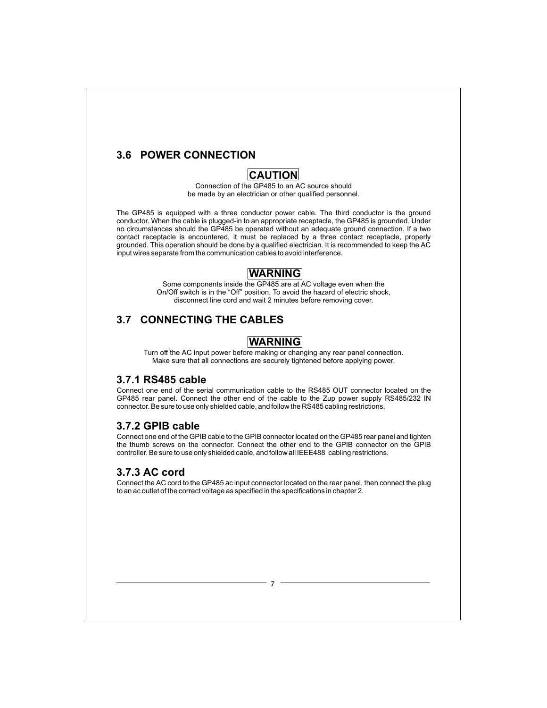## **3.6 POWER CONNECTION**

### **CAUTION**

Connection of the GP485 to an AC source should be made by an electrician or other qualified personnel.

The GP485 is equipped with a three conductor power cable. The third conductor is the ground conductor. When the cable is plugged-in to an appropriate receptacle, the GP485 is grounded. Under no circumstances should the GP485 be operated without an adequate ground connection. If a two contact receptacle is encountered, it must be replaced by a three contact receptacle, properly grounded. This operation should be done by a qualified electrician. It is recommended to keep the AC input wires separate from the communication cables to avoid interference.

### **WARNING**

Some components inside the GP485 are at AC voltage even when the On/Off switch is in the "Off" position. To avoid the hazard of electric shock, disconnect line cord and wait 2 minutes before removing cover.

## **3.7 CONNECTING THE CABLES**

## **WARNING**

Turn off the AC input power before making or changing any rear panel connection. Make sure that all connections are securely tightened before applying power.

#### **3.7.1 RS485 cable**

Connect one end of the serial communication cable to the RS485 OUT connector located on the GP485 rear panel. Connect the other end of the cable to the Zup power supply RS485/232 IN connector. Be sure to use only shielded cable, and follow the RS485 cabling restrictions.

#### **3.7.2 GPIB cable**

Connect one end of the GPIB cable to the GPIB connector located on the GP485 rear panel and tighten the thumb screws on the connector. Connect the other end to the GPIB connector on the GPIB controller. Be sure to use only shielded cable, and follow all IEEE488 cabling restrictions.

#### **3.7.3 AC cord**

Connect the AC cord to the GP485 ac input connector located on the rear panel, then connect the plug to an ac outlet of the correct voltage as specified in the specifications in chapter 2.

 $\overline{7}$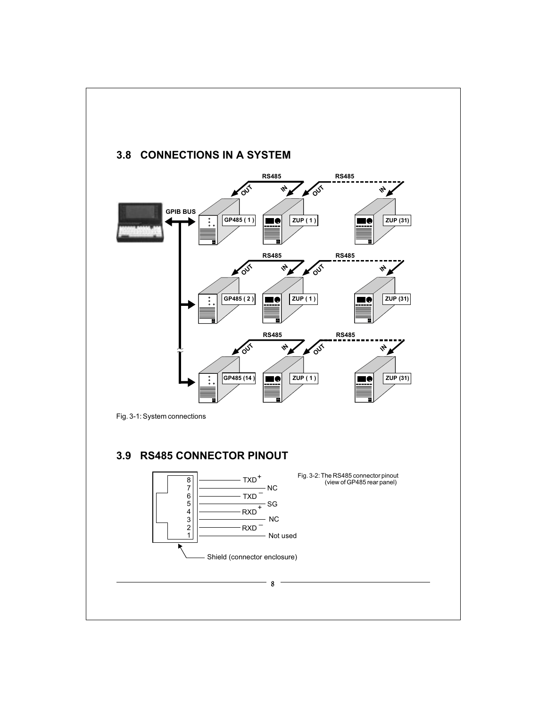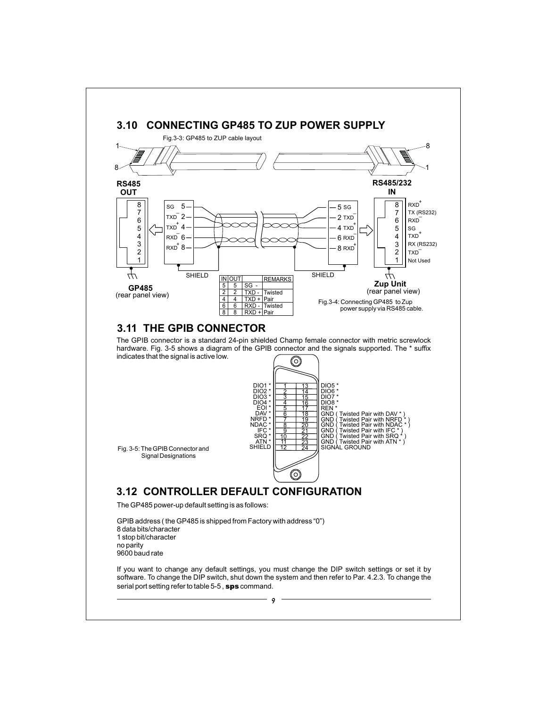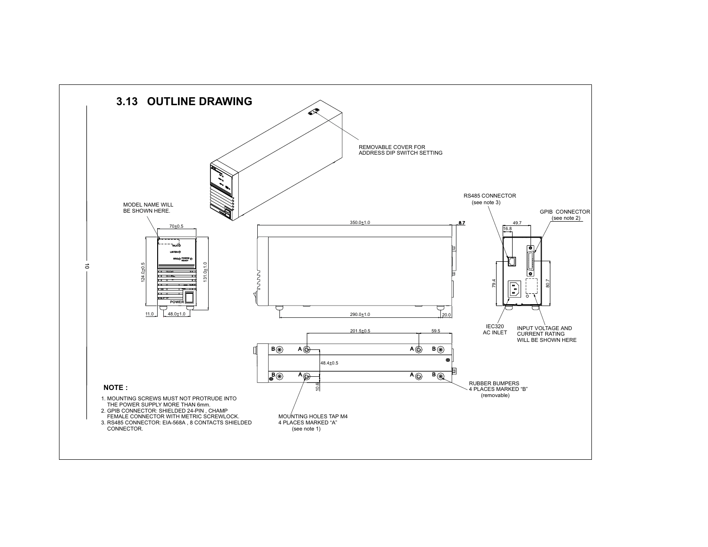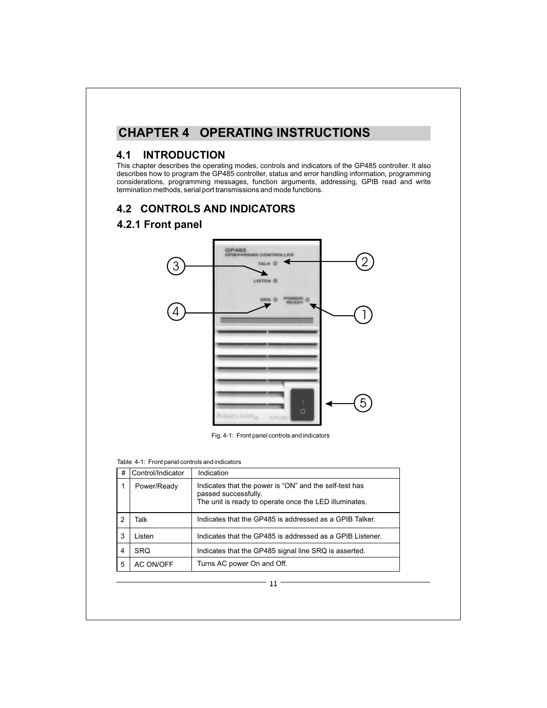# **CHAPTER 4 OPERATING INSTRUCTIONS**

#### **4.1 INTRODUCTION**

This chapter describes the operating modes, controls and indicators of the GP485 controller. It also describes how to program the GP485 controller, status and error handling information, programming considerations, programming messages, function arguments, addressing, GPIB read and write termination methods, serial port transmissions and mode functions.

### **4.2 CONTROLS AND INDICATORS**

### **4.2.1 Front panel**



Fig. 4-1: Front panel controls and indicators

#### Table 4-1: Front panel controls and indicators

| # | Control/Indicator | Indication                                                                                                                               |
|---|-------------------|------------------------------------------------------------------------------------------------------------------------------------------|
|   | Power/Ready       | Indicates that the power is "ON" and the self-test has<br>passed successfully.<br>The unit is ready to operate once the LED illuminates. |
| 2 | Talk              | Indicates that the GP485 is addressed as a GPIB Talker.                                                                                  |
| 3 | I isten           | Indicates that the GP485 is addressed as a GPIB Listener.                                                                                |
| 4 | <b>SRO</b>        | Indicates that the GP485 signal line SRQ is asserted.                                                                                    |
| 5 | AC ON/OFF         | Turns AC power On and Off.                                                                                                               |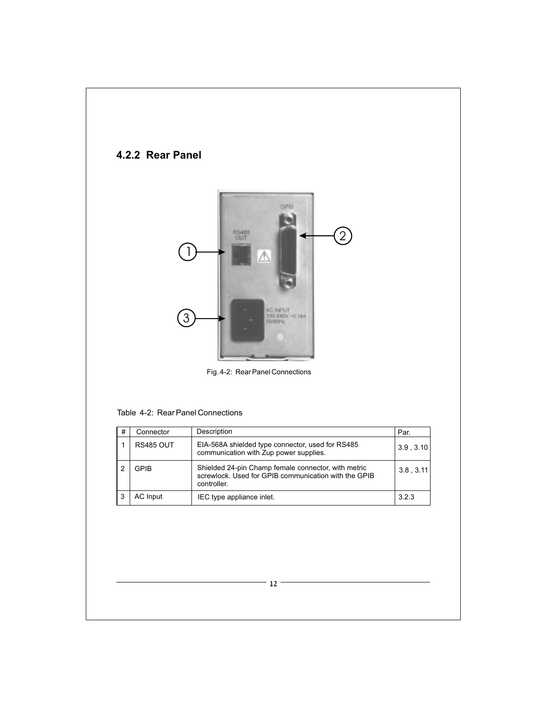## **4.2.2 Rear Panel**



Fig. 4-2: Rear Panel Connections

#### Table 4-2: Rear Panel Connections

| # | Connector        | Description                                                                                                                | Par.      |
|---|------------------|----------------------------------------------------------------------------------------------------------------------------|-----------|
|   | <b>RS485 OUT</b> | EIA-568A shielded type connector, used for RS485<br>communication with Zup power supplies.                                 | 3.9.3.10  |
| 2 | GPIB             | Shielded 24-pin Champ female connector, with metric<br>screwlock. Used for GPIB communication with the GPIB<br>controller. | 3.8, 3.11 |
| 3 | <b>AC</b> Input  | IEC type appliance inlet.                                                                                                  | 3.2.3     |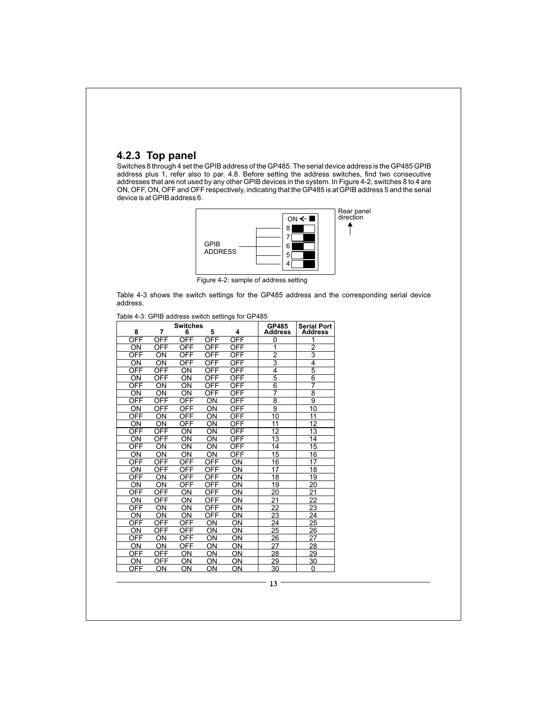#### **4.2.3 Top panel**

Switches 8 through 4 set the GPIB address of the GP485. The serial device address is the GP485 GPIB address plus 1, refer also to par. 4.8. Before setting the address switches, find two consecutive addresses that are not used by any other GPIB devices in the system. In Figure 4-2, switches 8 to 4 are ON, OFF, ON, OFF and OFF respectively, indicating that the GP485 is at GPIB address 5 and the serial device is at GPIB address 6.



Figure 4-2: sample of address setting

Table 4-3 shows the switch settings for the GP485 address and the corresponding serial device address.

| 8                      | 7               | <b>Switches</b><br>6      | 5                      | 4          | GP485<br><b>Address</b> | <b>Serial Port</b><br><b>Address</b> |
|------------------------|-----------------|---------------------------|------------------------|------------|-------------------------|--------------------------------------|
| OFF                    | <b>OFF</b>      | OFF                       | OFF                    | OFF        | $\overline{0}$          | 1                                    |
| ON                     | OFF             | <b>OFF</b>                | OFF                    | <b>OFF</b> | 1                       | $\overline{2}$                       |
| OFF                    | $\overline{ON}$ | OFF                       | <b>OFF</b>             | OFF        |                         | $\overline{3}$                       |
| ON                     | $\overline{ON}$ | $\overline{\mathsf{OFF}}$ | <b>OFF</b>             | OFF        | $\frac{2}{3}$           | $\overline{4}$                       |
| OFF                    | <b>OFF</b>      | ON                        | <b>OFF</b>             | <b>OFF</b> | 4                       | $\overline{5}$                       |
| $\overline{\text{ON}}$ | OFF             | $\overline{\text{ON}}$    | OFF                    | OFF        | $\overline{5}$          | $\overline{6}$                       |
| OFF                    | $\overline{ON}$ | $\overline{ON}$           | OFF                    | OFF        | $\overline{6}$          | 7                                    |
| ON                     | ON              | ON                        | OFF                    | <b>OFF</b> | 7                       | $\overline{\bf 8}$                   |
| OFF                    | <b>OFF</b>      | <b>OFF</b>                | $\overline{\text{ON}}$ | <b>OFF</b> | $\overline{8}$          | $\overline{9}$                       |
| ON                     | <b>OFF</b>      | OFF                       | $\overline{ON}$        | OFF        | $\overline{9}$          | $\overline{10}$                      |
| OFF                    | $\overline{ON}$ | OFF                       | $\overline{\text{ON}}$ | <b>OFF</b> | 10                      | 11                                   |
| ON                     | ON              | OFF                       | $\overline{\text{ON}}$ | OFF        | $\overline{11}$         | 12                                   |
| <b>OFF</b>             | <b>OFF</b>      | $\overline{ON}$           | ON                     | OFF        | $\overline{12}$         | $\overline{13}$                      |
| ON                     | OFF             | ON                        | ON                     | <b>OFF</b> | $\overline{13}$         | 14                                   |
| OFF                    | ON              | ON                        | $\overline{ON}$        | OFF        | 14                      | $\overline{15}$                      |
| ON                     | ON              | ON                        | $\overline{ON}$        | OFF        | $\overline{15}$         | $\overline{16}$                      |
| <b>OFF</b>             | <b>OFF</b>      | OFF                       | <b>OFF</b>             | ON         | 16                      | 17                                   |
| ON                     | OFF             | OFF                       | <b>OFF</b>             | ON         | 17                      | 18                                   |
| OFF                    | ON              | OFF                       | <b>OFF</b>             | ON         | 18                      | 19                                   |
| ON                     | ON              | <b>OFF</b>                | <b>OFF</b>             | ON         | 19                      | 20                                   |
| OFF                    | <b>OFF</b>      | ON                        | <u>OFF</u>             | ON         | 20                      | $\overline{21}$                      |
| ON                     | OFF             | ON                        | OFF                    | ON         | 21                      | $\overline{22}$                      |
| OFF                    | ON              | OΝ                        | <b>OFF</b>             | ON         | 22                      | 23                                   |
| OΝ                     | ON              | ON                        | <b>OFF</b>             | ON         | 23                      | 24                                   |
| OFF                    | <b>OFF</b>      | OFF                       | ON                     | ON         | 24                      | 25                                   |
| ΟN                     | OFF             | OFF                       | ON                     | ON         | 25                      | 26                                   |
| OFF                    | ON              | OFF                       | ON                     | ON         | 26                      | 27                                   |
| ON                     | ON              | OFF                       | ON                     | ON         | 27                      | 28                                   |
| OFF                    | <b>OFF</b>      | ON                        | ON                     | ON         | 28                      | 29                                   |
| ΟN                     | OFF             | ON                        | ON                     | ON         | 29                      | 30                                   |
| OFF                    | OΝ              | OΝ                        | ON                     | ΟN         | 30                      | 0                                    |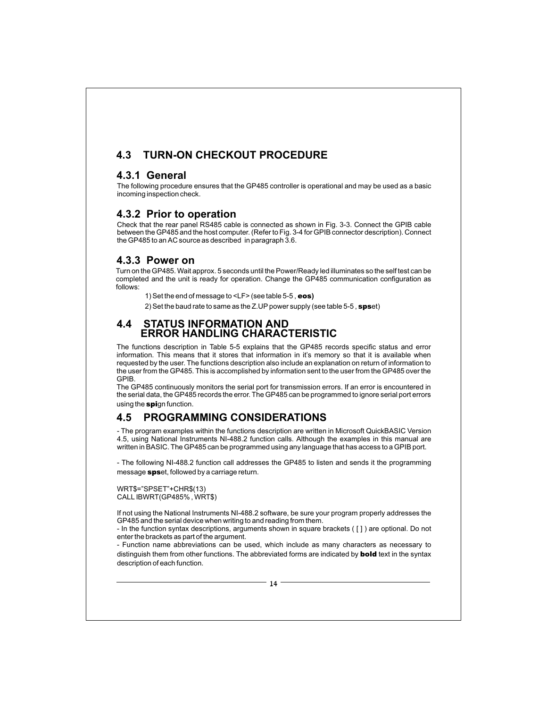## **4.3 TURN-ON CHECKOUT PROCEDURE**

#### **4.3.1 General**

The following procedure ensures that the GP485 controller is operational and may be used as a basic incoming inspection check.

#### **4.3.2 Prior to operation**

Check that the rear panel RS485 cable is connected as shown in Fig. 3-3. Connect the GPIB cable between the GP485 and the host computer. (Refer to Fig. 3-4 for GPIB connector description). Connect the GP485 to an AC source as described in paragraph 3.6.

#### **4.3.3 Power on**

Turn on the GP485. Wait approx. 5 seconds until the Power/Ready led illuminates so the self test can be completed and the unit is ready for operation. Change the GP485 communication configuration as follows:

1) Set the end of message to <LF> (see table 5-5 , eos **)**

2) Set the baud rate to same as the Z.UP power supply (see table 5-5 ,  ${\rm spse}$ t)

#### **4.4 STATUS INFORMATION AND ERROR HANDLING CHARACTERISTIC**

The functions description in Table 5-5 explains that the GP485 records specific status and error information. This means that it stores that information in it's memory so that it is available when requested by the user. The functions description also include an explanation on return of information to the user from the GP485. This is accomplished by information sent to the user from the GP485 over the GPIB.

The GP485 continuously monitors the serial port for transmission errors. If an error is encountered in the serial data, the GP485 records the error. The GP485 can be programmed to ignore serial port errors using the spign function.

## **4.5 PROGRAMMING CONSIDERATIONS**

- The program examples within the functions description are written in Microsoft QuickBASIC Version 4.5, using National Instruments NI-488.2 function calls. Although the examples in this manual are written in BASIC. The GP485 can be programmed using any language that has access to a GPIB port.

- The following NI-488.2 function call addresses the GP485 to listen and sends it the programming message **sps**et, followed by a carriage return.

WRT\$="SPSET"+CHR\$(13) CALL IBWRT(GP485% , WRT\$)

If not using the National Instruments NI-488.2 software, be sure your program properly addresses the GP485 and the serial device when writing to and reading from them.

- In the function syntax descriptions, arguments shown in square brackets ( [ ] ) are optional. Do not enter the brackets as part of the argument.

- Function name abbreviations can be used, which include as many characters as necessary to distinguish them from other functions. The abbreviated forms are indicated by **bold** text in the syntax description of each function.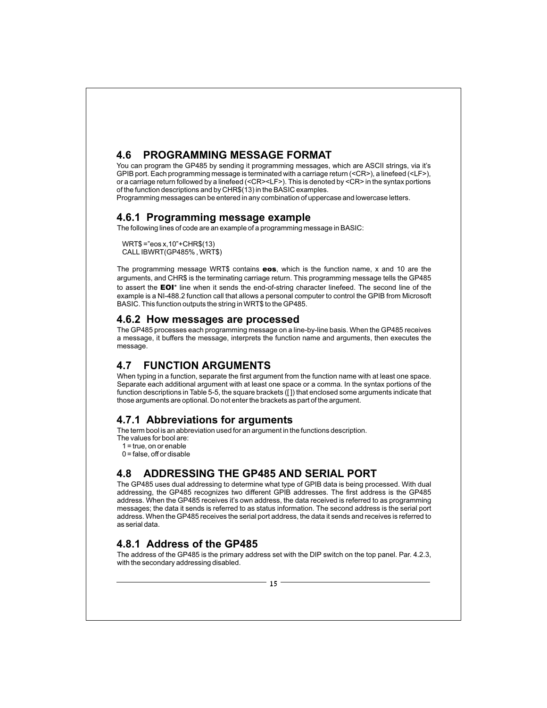## **4.6 PROGRAMMING MESSAGE FORMAT**

You can program the GP485 by sending it programming messages, which are ASCII strings, via it's GPIB port. Each programming message is terminated with a carriage return (<CR>), a linefeed (<LF>), or a carriage return followed by a linefeed (<CR><LF>). This is denoted by <CR> in the syntax portions of the function descriptions and by CHR\$(13) in the BASIC examples.

Programming messages can be entered in any combination of uppercase and lowercase letters.

#### **4.6.1 Programming message example**

The following lines of code are an example of a programming message in BASIC:

WRT\$ ="eos x,10"+CHR\$(13) CALL IBWRT(GP485% , WRT\$)

The programming message WRT\$ contains  $\mathbf{eos}$ , which is the function name, x and 10 are the arguments, and CHR\$ is the terminating carriage return. This programming message tells the GP485 to assert the  $\text{EOL}^*$  line when it sends the end-of-string character linefeed. The second line of the example is a NI-488.2 function call that allows a personal computer to control the GPIB from Microsoft BASIC. This function outputs the string in WRT\$ to the GP485.

#### **4.6.2 How messages are processed**

The GP485 processes each programming message on a line-by-line basis. When the GP485 receives a message, it buffers the message, interprets the function name and arguments, then executes the message.

## **4.7 FUNCTION ARGUMENTS**

When typing in a function, separate the first argument from the function name with at least one space. Separate each additional argument with at least one space or a comma. In the syntax portions of the function descriptions in Table 5-5, the square brackets ([ ]) that enclosed some arguments indicate that those arguments are optional. Do not enter the brackets as part of the argument.

#### **4.7.1 Abbreviations for arguments**

The term bool is an abbreviation used for an argument in the functions description.

The values for bool are:

1 = true, on or enable

 $0 =$  false, off or disable

## **4.8 ADDRESSING THE GP485 AND SERIAL PORT**

The GP485 uses dual addressing to determine what type of GPIB data is being processed. With dual addressing, the GP485 recognizes two different GPIB addresses. The first address is the GP485 address. When the GP485 receives it's own address, the data received is referred to as programming messages; the data it sends is referred to as status information. The second address is the serial port address. When the GP485 receives the serial port address, the data it sends and receives is referred to as serial data.

## **4.8.1 Address of the GP485**

The address of the GP485 is the primary address set with the DIP switch on the top panel. Par. 4.2.3, with the secondary addressing disabled.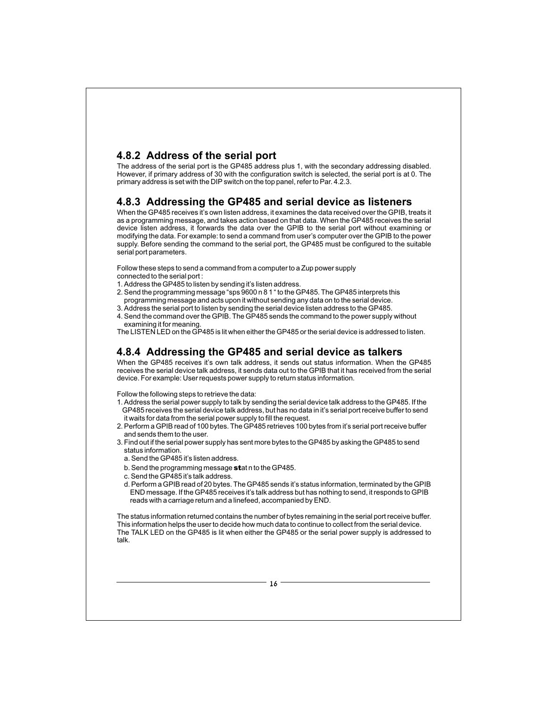### **4.8.2 Address of the serial port**

The address of the serial port is the GP485 address plus 1, with the secondary addressing disabled. However, if primary address of 30 with the configuration switch is selected, the serial port is at 0. The primary address is set with the DIP switch on the top panel, refer to Par. 4.2.3.

#### **4.8.3 Addressing the GP485 and serial device as listeners**

When the GP485 receives it's own listen address, it examines the data received over the GPIB, treats it as a programming message, and takes action based on that data. When the GP485 receives the serial device listen address, it forwards the data over the GPIB to the serial port without examining or modifying the data. For example: to send a command from user's computer over the GPIB to the power supply. Before sending the command to the serial port, the GP485 must be configured to the suitable serial port parameters.

Follow these steps to send a command from a computer to a Zup power supply

- connected to the serial port :
- 1. Address the GP485 to listen by sending it's listen address.
- 2. Send the programming message "sps 9600 n 8 1 " to the GP485. The GP485 interprets this programming message and acts upon it without sending any data on to the serial device.
- 3. Address the serial port to listen by sending the serial device listen address to the GP485. 4. Send the command over the GPIB. The GP485 sends the command to the power supply without

examining it for meaning. The LISTEN LED on the GP485 is lit when either the GP485 or the serial device is addressed to listen.

# **4.8.4 Addressing the GP485 and serial device as talkers**

When the GP485 receives it's own talk address, it sends out status information. When the GP485 receives the serial device talk address, it sends data out to the GPIB that it has received from the serial device. For example: User requests power supply to return status information.

Follow the following steps to retrieve the data:

- 1. Address the serial power supply to talk by sending the serial device talk address to the GP485. If the GP485 receives the serial device talk address, but has no data in it's serial port receive buffer to send it waits for data from the serial power supply to fill the request.
- 2. Perform a GPIB read of 100 bytes. The GP485 retrieves 100 bytes from it's serial port receive buffer and sends them to the user.
- 3. Find out if the serial power supply has sent more bytes to the GP485 by asking the GP485 to send status information.
	- a. Send the GP485 it's listen address.
	- b. Send the programming message **st**at n to the GP485.
	- c. Send the GP485 it's talk address.
	- d. Perform a GPIB read of 20 bytes. The GP485 sends it's status information, terminated by the GPIB END message. If the GP485 receives it's talk address but has nothing to send, it responds to GPIB reads with a carriage return and a linefeed, accompanied by END.

The status information returned contains the number of bytes remaining in the serial port receive buffer. This information helps the user to decide how much data to continue to collect from the serial device. The TALK LED on the GP485 is lit when either the GP485 or the serial power supply is addressed to talk.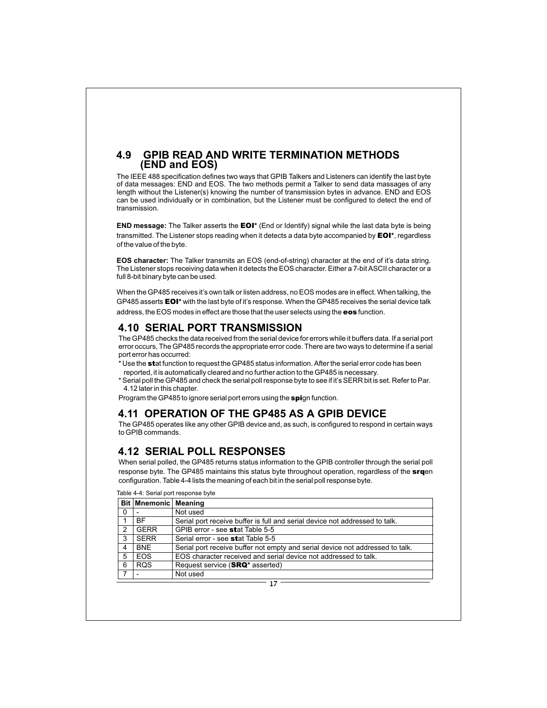#### **4.9 GPIB READ AND WRITE TERMINATION METHODS (END and EOS)**

The IEEE 488 specification defines two ways that GPIB Talkers and Listeners can identify the last byte of data messages: END and EOS. The two methods permit a Talker to send data massages of any length without the Listener(s) knowing the number of transmission bytes in advance. END and EOS can be used individually or in combination, but the Listener must be configured to detect the end of transmission.

**END message:** The Talker asserts the **EOI**\* (End or Identify) signal while the last data byte is being transmitted. The Listener stops reading when it detects a data byte accompanied by **EOI**\*, regardless of the value of the byte.

**EOS character:** The Talker transmits an EOS (end-of-string) character at the end of it's data string. The Listener stops receiving data when it detects the EOS character. Either a 7-bit ASCII character or a full 8-bit binary byte can be used.

When the GP485 receives it's own talk or listen address, no EOS modes are in effect. When talking, the GP485 asserts **EOI\*** with the last byte of it's response. When the GP485 receives the serial device talk address, the EOS modes in effect are those that the user selects using the **eos** function.

#### **4.10 SERIAL PORT TRANSMISSION**

The GP485 checks the data received from the serial device for errors while it buffers data. If a serial port error occurs, The GP485 records the appropriate error code. There are two ways to determine if a serial port error has occurred:

- $^{\star}$  Use the  $\sf{stat}$  function to request the GP485 status information. After the serial error code has been reported, it is automatically cleared and no further action to the GP485 is necessary.
- \* Serial poll the GP485 and check the serial poll response byte to see if it's SERR bit is set. Refer to Par. 4.12 later in this chapter.

Program the GP485 to ignore serial port errors using the spign function.

#### **4.11 OPERATION OF THE GP485 AS A GPIB DEVICE**

The GP485 operates like any other GPIB device and, as such, is configured to respond in certain ways to GPIB commands.

#### **4.12 SERIAL POLL RESPONSES**

When serial polled, the GP485 returns status information to the GPIB controller through the serial poll response byte. The GP485 maintains this status byte throughout operation, regardless of the **srq**en configuration. Table 4-4 lists the meaning of each bit in the serial poll response byte.

| Table 4-4: Serial port response byte |  |  |
|--------------------------------------|--|--|
|--------------------------------------|--|--|

|   | <b>Bit Mnemonic Meaning</b> |                                                                               |
|---|-----------------------------|-------------------------------------------------------------------------------|
| 0 |                             | Not used                                                                      |
|   | <b>BF</b>                   | Serial port receive buffer is full and serial device not addressed to talk.   |
| 2 | <b>GERR</b>                 | GPIB error - see stat Table 5-5                                               |
| 3 | <b>SERR</b>                 | Serial error - see stat Table 5-5                                             |
| 4 | <b>BNE</b>                  | Serial port receive buffer not empty and serial device not addressed to talk. |
| 5 | <b>EOS</b>                  | EOS character received and serial device not addressed to talk.               |
| 6 | <b>ROS</b>                  | Request service (SRQ <sup>*</sup> asserted)                                   |
|   |                             | Not used                                                                      |
|   |                             |                                                                               |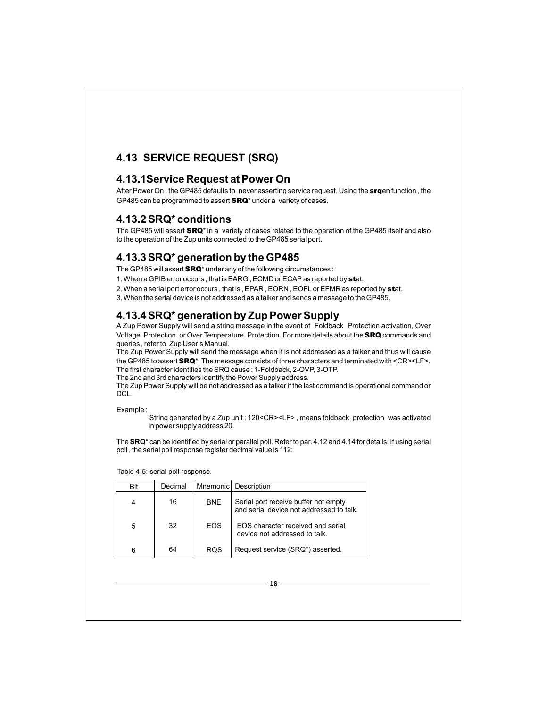## **4.13 SERVICE REQUEST (SRQ)**

#### **4.13.1Service Request at Power On**

After Power On , the GP485 defaults to never asserting service request. Using the **srq**en function , the GP485 can be programmed to assert **SRQ**\* under a variety of cases.

#### **4.13.2 SRQ\* conditions**

The GP485 will assert  $\mathbf{S}\mathbf{R}\mathbf{Q}^\star$  in a  $\;$  variety of cases related to the operation of the GP485 itself and also to the operation of the Zup units connected to the GP485 serial port.

### **4.13.3 SRQ\* generation by the GP485**

The GP485 will assert  $\text{SRQ}^\star$  under any of the following circumstances :

1. When a GPIB error occurs, that is EARG, ECMD or ECAP as reported by stat.

2. When a serial port error occurs , that is , EPAR , EORN , EOFL or EFMR as reported by **st**at.

3. When the serial device is not addressed as a talker and sends a message to the GP485.

## **4.13.4 SRQ\* generation by Zup Power Supply**

A Zup Power Supply will send a string message in the event of Foldback Protection activation, Over Voltage Protection or Over Temperature Protection .For more details about the SRQ commands and queries , refer to Zup User's Manual.

The Zup Power Supply will send the message when it is not addressed as a talker and thus will cause the GP485 to assert  $\texttt{SRQ}^\star$ . The message consists of three characters and terminated with <CR><LF>. The first character identifies the SRQ cause : 1-Foldback, 2-OVP, 3-OTP. The 2nd and 3rd characters identify the Power Supply address.

The Zup Power Supply will be not addressed as a talker if the last command is operational command or DCL.

Example :

String generated by a Zup unit : 120<CR><LF> , means foldback protection was activated in power supply address 20.

The **SRQ**\* can be identified by serial or parallel poll. Refer to par. 4.12 and 4.14 for details. If using serial poll , the serial poll response register decimal value is 112:

| Bit | Decimal |            | Mnemonic   Description                                                           |
|-----|---------|------------|----------------------------------------------------------------------------------|
|     | 16      | <b>BNE</b> | Serial port receive buffer not empty<br>and serial device not addressed to talk. |
| 5   | 32      | <b>EOS</b> | FOS character received and serial<br>device not addressed to talk.               |
| 6   | 64      | ROS        | Request service (SRQ*) asserted.                                                 |

Table 4-5: serial poll response.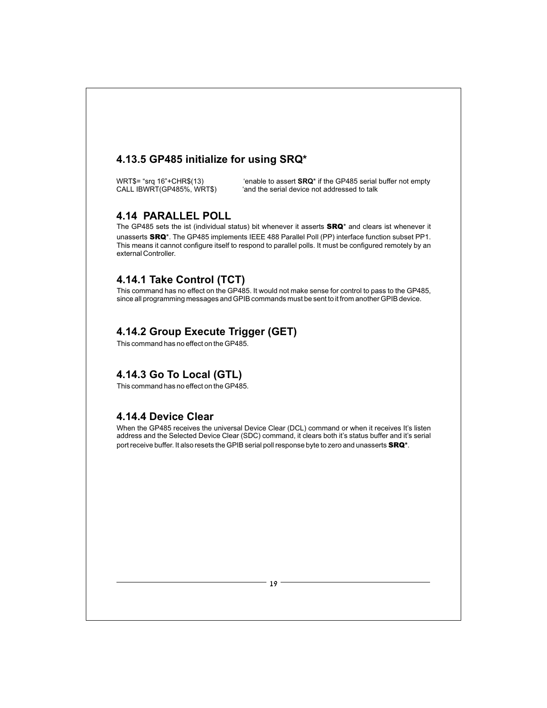### **4.13.5 GP485 initialize for using SRQ\***

WRT\$= "srq 16"+CHR\$(13) 'enable to assert **SRQ**\* if the GP485 serial buffer not empty CALL IBWRT(GP485%, WRT\$) 'and the serial device not addressed to talk

#### **4.14 PARALLEL POLL**

The GP485 sets the ist (individual status) bit whenever it asserts **SRQ**\* and clears ist whenever it unasserts SRQ\*. The GP485 implements IEEE 488 Parallel Poll (PP) interface function subset PP1. This means it cannot configure itself to respond to parallel polls. It must be configured remotely by an external Controller.

## **4.14.1 Take Control (TCT)**

This command has no effect on the GP485. It would not make sense for control to pass to the GP485, since all programming messages and GPIB commands must be sent to it from another GPIB device.

### **4.14.2 Group Execute Trigger (GET)**

This command has no effect on the GP485.

## **4.14.3 Go To Local (GTL)**

This command has no effect on the GP485.

#### **4.14.4 Device Clear**

When the GP485 receives the universal Device Clear (DCL) command or when it receives It's listen address and the Selected Device Clear (SDC) command, it clears both it's status buffer and it's serial port receive buffer. It also resets the GPIB serial poll response byte to zero and unasserts **SRQ**\*.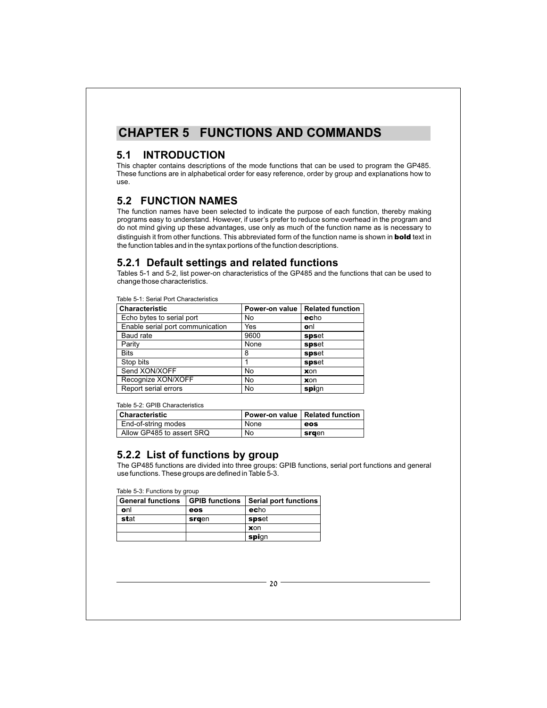# **CHAPTER 5 FUNCTIONS AND COMMANDS**

## **5.1 INTRODUCTION**

This chapter contains descriptions of the mode functions that can be used to program the GP485. These functions are in alphabetical order for easy reference, order by group and explanations how to use.

## **5.2 FUNCTION NAMES**

The function names have been selected to indicate the purpose of each function, thereby making programs easy to understand. However, if user's prefer to reduce some overhead in the program and do not mind giving up these advantages, use only as much of the function name as is necessary to distinguish it from other functions. This abbreviated form of the function name is shown in **bold** text in the function tables and in the syntax portions of the function descriptions.

#### **5.2.1 Default settings and related functions**

Tables 5-1 and 5-2, list power-on characteristics of the GP485 and the functions that can be used to change those characteristics.

Table 5-1: Serial Port Characteristics

| <b>Characteristic</b>            | Power-on value | <b>Related function</b> |
|----------------------------------|----------------|-------------------------|
| Echo bytes to serial port        | No             | echo                    |
| Enable serial port communication | Yes            | onl                     |
| Baud rate                        | 9600           | spset                   |
| Parity                           | None           | spset                   |
| <b>Bits</b>                      | 8              | spset                   |
| Stop bits                        |                | spset                   |
| Send XON/XOFF                    | No             | xon                     |
| Recognize XON/XOFF               | No             | xon                     |
| Report serial errors             | No             | spign                   |

Table 5-2: GPIB Characteristics

| <b>Oharacteristic</b>     |      | Power-on value   Related function |
|---------------------------|------|-----------------------------------|
| End-of-string modes       | None | eos                               |
| Allow GP485 to assert SRQ | No.  | sraen                             |

#### **5.2.2 List of functions by group**

The GP485 functions are divided into three groups: GPIB functions, serial port functions and general use functions. These groups are defined in Table 5-3.

Table 5-3: Functions by group

| General functions |       | GPIB functions Serial port functions |
|-------------------|-------|--------------------------------------|
| onl               | eos   | echo                                 |
| stat              | srgen | spset                                |
|                   |       | xon                                  |
|                   |       | spign                                |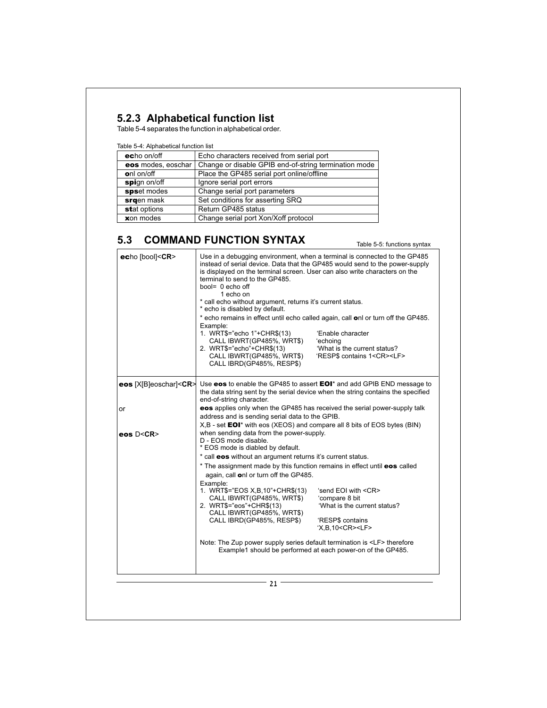## **5.2.3 Alphabetical function list**

Table 5-4 separates the function in alphabetical order.

Table 5-4: Alphabetical function list

| echo on/off        | Echo characters received from serial port             |  |  |  |
|--------------------|-------------------------------------------------------|--|--|--|
| eos modes, eoschar | Change or disable GPIB end-of-string termination mode |  |  |  |
| onl on/off         | Place the GP485 serial port online/offline            |  |  |  |
| spign on/off       | Ignore serial port errors                             |  |  |  |
| spset modes        | Change serial port parameters                         |  |  |  |
| srgen mask         | Set conditions for asserting SRQ                      |  |  |  |
| stat options       | Return GP485 status                                   |  |  |  |
| xon modes          | Change serial port Xon/Xoff protocol                  |  |  |  |

## **5.3 COMMAND FUNCTION SYNTAX**

Table 5-5: functions syntax

| echo [bool] <cr></cr>                  | is displayed on the terminal screen. User can also write characters on the<br>terminal to send to the GP485.<br>bool= 0 echo off<br>1 echo on<br>* call echo without argument, returns it's current status.<br>* echo is disabled by default. | Use in a debugging environment, when a terminal is connected to the GP485<br>instead of serial device. Data that the GP485 would send to the power-supply                                   |
|----------------------------------------|-----------------------------------------------------------------------------------------------------------------------------------------------------------------------------------------------------------------------------------------------|---------------------------------------------------------------------------------------------------------------------------------------------------------------------------------------------|
|                                        | Example:<br>1. WRT\$="echo 1"+CHR\$(13)<br>CALL IBWRT(GP485%, WRT\$)<br>2. WRT\$="echo"+CHR\$(13)<br>CALL IBWRT(GP485%, WRT\$)<br>CALL IBRD(GP485%, RESP\$)                                                                                   | * echo remains in effect until echo called again, call onl or turn off the GP485.<br>'Enable character<br>'echoing<br>'What is the current status?<br>'RESP\$ contains 1 <cr><lf></lf></cr> |
| <b>eos</b> $[X B]$ eoschar $ <$ CR $>$ | end-of-string character.                                                                                                                                                                                                                      | Use eos to enable the GP485 to assert EOI* and add GPIB END message to<br>the data string sent by the serial device when the string contains the specified                                  |
| or                                     | address and is sending serial data to the GPIB.<br>X,B - set <b>EOI</b> * with eos (XEOS) and compare all 8 bits of EOS bytes (BIN)                                                                                                           | eos applies only when the GP485 has received the serial power-supply talk                                                                                                                   |
| eos D <cr></cr>                        | when sending data from the power-supply.<br>D - EOS mode disable.<br>* EOS mode is diabled by default.                                                                                                                                        |                                                                                                                                                                                             |
|                                        | * call eos without an argument returns it's current status.                                                                                                                                                                                   |                                                                                                                                                                                             |
|                                        | * The assignment made by this function remains in effect until eos called<br>again, call onl or turn off the GP485.                                                                                                                           |                                                                                                                                                                                             |
|                                        | Example:<br>1. WRT\$="EOS X, B, 10"+CHR\$(13)<br>CALL IBWRT(GP485%, WRT\$)<br>2. WRT\$="eos"+CHR\$(13)<br>CALL IBWRT(GP485%, WRT\$)<br>CALL IBRD(GP485%, RESP\$)                                                                              | 'send EOI with <cr><br/>'compare 8 bit<br/>'What is the current status?<br/>'RESP\$ contains<br/>'X,B,10<cr><lf></lf></cr></cr>                                                             |
|                                        | Note: The Zup power supply series default termination is <lf> therefore</lf>                                                                                                                                                                  | Example1 should be performed at each power-on of the GP485.                                                                                                                                 |
|                                        | 21                                                                                                                                                                                                                                            |                                                                                                                                                                                             |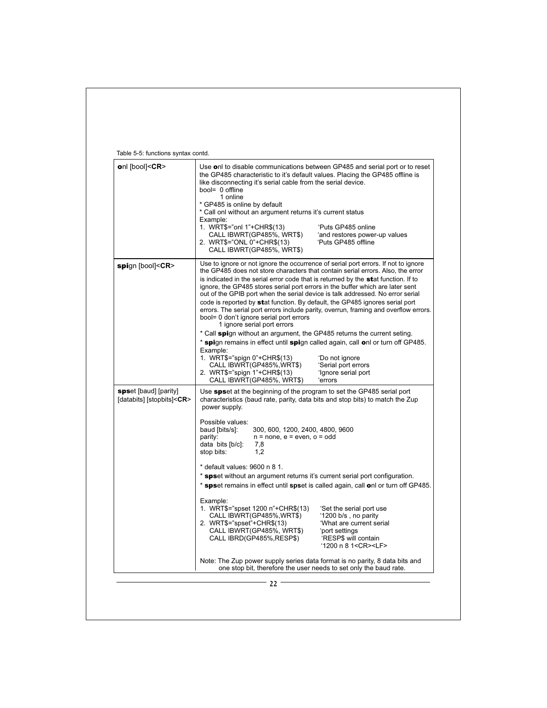| onl [bool] <cr></cr>                                     | the GP485 characteristic to it's default values. Placing the GP485 offline is<br>like disconnecting it's serial cable from the serial device.<br>bool= 0 offline<br>1 online                                                                                                                                                                                                                                                                                                                                                                                                                                                                                         | Use onl to disable communications between GP485 and serial port or to reset                                                                              |
|----------------------------------------------------------|----------------------------------------------------------------------------------------------------------------------------------------------------------------------------------------------------------------------------------------------------------------------------------------------------------------------------------------------------------------------------------------------------------------------------------------------------------------------------------------------------------------------------------------------------------------------------------------------------------------------------------------------------------------------|----------------------------------------------------------------------------------------------------------------------------------------------------------|
|                                                          | * GP485 is online by default<br>* Call onl without an argument returns it's current status<br>Example:<br>1. WRT\$="onl 1"+CHR\$(13)<br>CALL IBWRT(GP485%, WRT\$)<br>2. WRT\$="ONL 0"+CHR\$(13)<br>CALL IBWRT(GP485%, WRT\$)                                                                                                                                                                                                                                                                                                                                                                                                                                         | 'Puts GP485 online<br>'and restores power-up values<br>'Puts GP485 offline                                                                               |
| spign [bool] <cr></cr>                                   | Use to ignore or not ignore the occurrence of serial port errors. If not to ignore<br>the GP485 does not store characters that contain serial errors. Also, the error<br>is indicated in the serial error code that is returned by the stat function. If to<br>ignore, the GP485 stores serial port errors in the buffer which are later sent<br>out of the GPIB port when the serial device is talk addressed. No error serial<br>code is reported by stat function. By default, the GP485 ignores serial port<br>bool= 0 don't ignore serial port errors<br>1 ignore serial port errors<br>* Call spign without an argument, the GP485 returns the current seting. | errors. The serial port errors include parity, overrun, framing and overflow errors.                                                                     |
|                                                          | * spign remains in effect until spign called again, call onl or turn off GP485.                                                                                                                                                                                                                                                                                                                                                                                                                                                                                                                                                                                      |                                                                                                                                                          |
|                                                          | Example:<br>1. WRT\$="spign 0"+CHR\$(13)<br>CALL IBWRT(GP485%,WRT\$)<br>2. WRT\$="spign 1"+CHR\$(13)<br>CALL IBWRT(GP485%, WRT\$)                                                                                                                                                                                                                                                                                                                                                                                                                                                                                                                                    | 'Do not ignore<br>'Serial port errors<br>'Ignore serial port<br>'errors                                                                                  |
| spset [baud] [parity]<br>[databits] [stopbits] <cr></cr> | Use spset at the beginning of the program to set the GP485 serial port<br>characteristics (baud rate, parity, data bits and stop bits) to match the Zup<br>power supply.                                                                                                                                                                                                                                                                                                                                                                                                                                                                                             |                                                                                                                                                          |
|                                                          | Possible values:<br>baud [bits/s]:<br>300, 600, 1200, 2400, 4800, 9600<br>$n = none$ , $e = even$ , $o = odd$<br>parity:<br>data bits [b/c]:<br>7,8<br>stop bits:<br>1.2                                                                                                                                                                                                                                                                                                                                                                                                                                                                                             |                                                                                                                                                          |
|                                                          | * default values: 9600 n 8 1.<br>* spset without an argument returns it's current serial port configuration.                                                                                                                                                                                                                                                                                                                                                                                                                                                                                                                                                         | * spset remains in effect until spset is called again, call onl or turn off GP485.                                                                       |
|                                                          | Example:<br>1. WRT\$="spset 1200 n"+CHR\$(13)<br>CALL IBWRT(GP485%, WRT\$)<br>2. WRT\$="spset"+CHR\$(13)<br>CALL IBWRT(GP485%, WRT\$)<br>CALL IBRD(GP485%, RESP\$)                                                                                                                                                                                                                                                                                                                                                                                                                                                                                                   | 'Set the serial port use<br>'1200 b/s, no parity<br>'What are current serial<br>'port settings<br>'RESP\$ will contain<br>'1200 n 8 1 <cr><lf></lf></cr> |
|                                                          | Note: The Zup power supply series data format is no parity, 8 data bits and<br>one stop bit, therefore the user needs to set only the baud rate.                                                                                                                                                                                                                                                                                                                                                                                                                                                                                                                     |                                                                                                                                                          |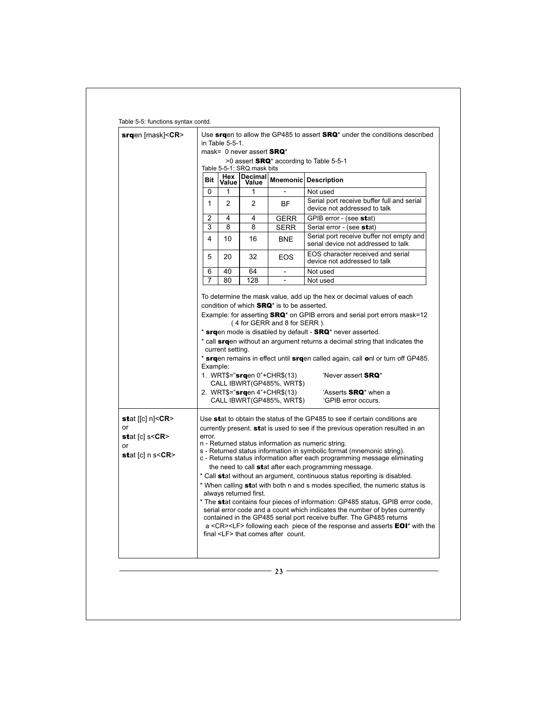| $srqen$ [mask]< $CR$ > | Use srgen to allow the GP485 to assert SRQ <sup>*</sup> under the conditions described |                  |                               |                                                                                                      |                                                                                                                                                                                                                                                                                         |  |  |
|------------------------|----------------------------------------------------------------------------------------|------------------|-------------------------------|------------------------------------------------------------------------------------------------------|-----------------------------------------------------------------------------------------------------------------------------------------------------------------------------------------------------------------------------------------------------------------------------------------|--|--|
|                        |                                                                                        | in Table 5-5-1.  |                               |                                                                                                      |                                                                                                                                                                                                                                                                                         |  |  |
|                        |                                                                                        |                  | mask= 0 never assert $S RQ^*$ |                                                                                                      |                                                                                                                                                                                                                                                                                         |  |  |
|                        |                                                                                        |                  | Table 5-5-1: SRQ mask bits    |                                                                                                      | $>0$ assert <b>SRQ</b> <sup>*</sup> according to Table 5-5-1                                                                                                                                                                                                                            |  |  |
|                        | Bit                                                                                    | Hex<br>Value     | Decimal<br>Value              |                                                                                                      | Mnemonic Description                                                                                                                                                                                                                                                                    |  |  |
|                        | 0                                                                                      | 1                | 1                             |                                                                                                      | Not used                                                                                                                                                                                                                                                                                |  |  |
|                        | $\mathbf{1}$                                                                           | 2                | $\overline{2}$                | BF                                                                                                   | Serial port receive buffer full and serial<br>device not addressed to talk                                                                                                                                                                                                              |  |  |
|                        | $\mathfrak{p}$                                                                         | 4                | 4                             | <b>GERR</b>                                                                                          | GPIB error - (see stat)                                                                                                                                                                                                                                                                 |  |  |
|                        | 3                                                                                      | 8                | 8                             | <b>SERR</b>                                                                                          | Serial error - (see stat)                                                                                                                                                                                                                                                               |  |  |
|                        | 4                                                                                      | 10               | 16                            | <b>BNE</b>                                                                                           | Serial port receive buffer not empty and<br>serial device not addressed to talk                                                                                                                                                                                                         |  |  |
|                        | 5                                                                                      | 20               | 32                            | <b>EOS</b>                                                                                           | EOS character received and serial<br>device not addressed to talk                                                                                                                                                                                                                       |  |  |
|                        | 6                                                                                      | 40               | 64                            | $\overline{a}$                                                                                       | Not used                                                                                                                                                                                                                                                                                |  |  |
|                        | 7                                                                                      | 80               | 128                           | $\overline{\phantom{a}}$                                                                             | Not used                                                                                                                                                                                                                                                                                |  |  |
|                        | Example:                                                                               | current setting. |                               | 1. WRT\$="srgen 0"+CHR\$(13)<br>CALL IBWRT(GP485%, WRT\$)<br>2. WRT\$=" $\text{srqen 4}$ "+CHR\$(13) | * srgen mode is disabled by default - SRQ* never asserted.<br>* call srgen without an argument returns a decimal string that indicates the<br>* srgen remains in effect until srgen called again, call onl or turn off GP485.<br>'Never assert SRQ*<br>'Asserts SRQ <sup>*</sup> when a |  |  |
|                        |                                                                                        |                  |                               | CALL IBWRT(GP485%, WRT\$)                                                                            | 'GPIB error occurs.                                                                                                                                                                                                                                                                     |  |  |
| or                     |                                                                                        |                  |                               |                                                                                                      | Use stat to obtain the status of the GP485 to see if certain conditions are                                                                                                                                                                                                             |  |  |
| stat $[c]$ s< $CR$ >   | error.                                                                                 |                  |                               |                                                                                                      | currently present. <b>stat</b> is used to see if the previous operation resulted in an                                                                                                                                                                                                  |  |  |
| or                     |                                                                                        |                  |                               |                                                                                                      | n - Returned status information as numeric string.                                                                                                                                                                                                                                      |  |  |
| stat $[c]$ n s< $CR$ > |                                                                                        |                  |                               |                                                                                                      | s - Returned status information in symbolic format (mnemonic string).<br>c - Returns status information after each programming message eliminating                                                                                                                                      |  |  |
|                        |                                                                                        |                  |                               |                                                                                                      | the need to call stat after each programming message.                                                                                                                                                                                                                                   |  |  |
|                        |                                                                                        |                  |                               |                                                                                                      | * Call stat without an argument, continuous status reporting is disabled.                                                                                                                                                                                                               |  |  |
|                        |                                                                                        |                  | always returned first.        |                                                                                                      | * When calling stat with both n and s modes specified, the numeric status is                                                                                                                                                                                                            |  |  |
|                        |                                                                                        |                  |                               |                                                                                                      | * The stat contains four pieces of information: GP485 status, GPIB error code,<br>serial error code and a count which indicates the number of bytes currently                                                                                                                           |  |  |
|                        |                                                                                        |                  |                               |                                                                                                      | contained in the GP485 serial port receive buffer. The GP485 returns<br>a <cr><lf> following each piece of the response and asserts <b>EOI</b><sup>*</sup> with the</lf></cr>                                                                                                           |  |  |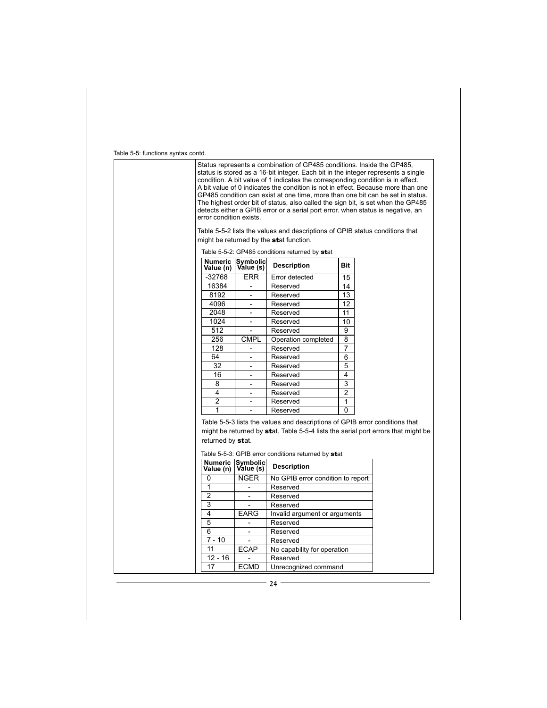Table 5-5: functions syntax contd.

| error condition exists.      |                                         | Status represents a combination of GP485 conditions. Inside the GP485,<br>status is stored as a 16-bit integer. Each bit in the integer represents a single<br>condition. A bit value of 1 indicates the corresponding condition is in effect.<br>A bit value of 0 indicates the condition is not in effect. Because more than one<br>GP485 condition can exist at one time, more than one bit can be set in status.<br>The highest order bit of status, also called the sign bit, is set when the GP485<br>detects either a GPIB error or a serial port error, when status is negative, an |                |  |
|------------------------------|-----------------------------------------|---------------------------------------------------------------------------------------------------------------------------------------------------------------------------------------------------------------------------------------------------------------------------------------------------------------------------------------------------------------------------------------------------------------------------------------------------------------------------------------------------------------------------------------------------------------------------------------------|----------------|--|
|                              |                                         | Table 5-5-2 lists the values and descriptions of GPIB status conditions that<br>might be returned by the stat function.                                                                                                                                                                                                                                                                                                                                                                                                                                                                     |                |  |
|                              |                                         | Table 5-5-2: GP485 conditions returned by stat                                                                                                                                                                                                                                                                                                                                                                                                                                                                                                                                              |                |  |
| Value (n)                    | Numeric Symbolic<br>Value (n) Value (s) | <b>Description</b>                                                                                                                                                                                                                                                                                                                                                                                                                                                                                                                                                                          | Bit            |  |
| $-32768$                     | ERR                                     | Error detected                                                                                                                                                                                                                                                                                                                                                                                                                                                                                                                                                                              | 15             |  |
| 16384                        | $\overline{\phantom{a}}$                | Reserved                                                                                                                                                                                                                                                                                                                                                                                                                                                                                                                                                                                    | 14             |  |
| 8192                         | $\overline{\phantom{a}}$                | Reserved                                                                                                                                                                                                                                                                                                                                                                                                                                                                                                                                                                                    | 13             |  |
| 4096                         | L,                                      | Reserved                                                                                                                                                                                                                                                                                                                                                                                                                                                                                                                                                                                    | 12             |  |
| 2048                         | $\overline{\phantom{0}}$                | Reserved                                                                                                                                                                                                                                                                                                                                                                                                                                                                                                                                                                                    | 11             |  |
| 1024                         | ٠                                       | Reserved                                                                                                                                                                                                                                                                                                                                                                                                                                                                                                                                                                                    | 10             |  |
| 512                          |                                         | Reserved                                                                                                                                                                                                                                                                                                                                                                                                                                                                                                                                                                                    | 9              |  |
| 256                          | CMPL                                    | Operation completed                                                                                                                                                                                                                                                                                                                                                                                                                                                                                                                                                                         | 8              |  |
| 128                          | $\overline{\phantom{a}}$                | Reserved                                                                                                                                                                                                                                                                                                                                                                                                                                                                                                                                                                                    | 7              |  |
| 64                           | $\overline{\phantom{a}}$                | Reserved                                                                                                                                                                                                                                                                                                                                                                                                                                                                                                                                                                                    | 6              |  |
| 32                           | ٠                                       | Reserved                                                                                                                                                                                                                                                                                                                                                                                                                                                                                                                                                                                    | 5              |  |
| 16                           | $\blacksquare$                          | Reserved                                                                                                                                                                                                                                                                                                                                                                                                                                                                                                                                                                                    | 4              |  |
| 8                            | $\overline{\phantom{0}}$                | Reserved                                                                                                                                                                                                                                                                                                                                                                                                                                                                                                                                                                                    | 3              |  |
| 4                            |                                         | Reserved                                                                                                                                                                                                                                                                                                                                                                                                                                                                                                                                                                                    | $\overline{2}$ |  |
| $\overline{c}$               | $\overline{\phantom{a}}$                | Reserved                                                                                                                                                                                                                                                                                                                                                                                                                                                                                                                                                                                    | 1              |  |
| 1                            | ٠                                       | Reserved                                                                                                                                                                                                                                                                                                                                                                                                                                                                                                                                                                                    | 0              |  |
| returned by stat.<br>Numeric | Symbolic<br>Value (s)                   | Table 5-5-3 lists the values and descriptions of GPIB error conditions that<br>might be returned by stat. Table 5-5-4 lists the serial port errors that might be<br>Table 5-5-3: GPIB error conditions returned by stat<br><b>Description</b>                                                                                                                                                                                                                                                                                                                                               |                |  |
| Value (n)                    |                                         |                                                                                                                                                                                                                                                                                                                                                                                                                                                                                                                                                                                             |                |  |
| 0                            | <b>NGER</b>                             | No GPIB error condition to report                                                                                                                                                                                                                                                                                                                                                                                                                                                                                                                                                           |                |  |
| 1                            |                                         | Reserved                                                                                                                                                                                                                                                                                                                                                                                                                                                                                                                                                                                    |                |  |
| $\overline{2}$               | $\blacksquare$                          | Reserved                                                                                                                                                                                                                                                                                                                                                                                                                                                                                                                                                                                    |                |  |
| 3                            |                                         | Reserved                                                                                                                                                                                                                                                                                                                                                                                                                                                                                                                                                                                    |                |  |
| 4                            | <b>EARG</b>                             | Invalid argument or arguments                                                                                                                                                                                                                                                                                                                                                                                                                                                                                                                                                               |                |  |
| 5                            | $\overline{\phantom{0}}$                | Reserved                                                                                                                                                                                                                                                                                                                                                                                                                                                                                                                                                                                    |                |  |
| 6<br>$7 - 10$                | $\overline{\phantom{a}}$                | Reserved                                                                                                                                                                                                                                                                                                                                                                                                                                                                                                                                                                                    |                |  |
| 11                           |                                         | Reserved                                                                                                                                                                                                                                                                                                                                                                                                                                                                                                                                                                                    |                |  |
| 12 - 16                      | <b>ECAP</b>                             | No capability for operation<br>Reserved                                                                                                                                                                                                                                                                                                                                                                                                                                                                                                                                                     |                |  |
| 17                           | <b>ECMD</b>                             | Unrecognized command                                                                                                                                                                                                                                                                                                                                                                                                                                                                                                                                                                        |                |  |
|                              |                                         |                                                                                                                                                                                                                                                                                                                                                                                                                                                                                                                                                                                             |                |  |

 $-$  24  $-$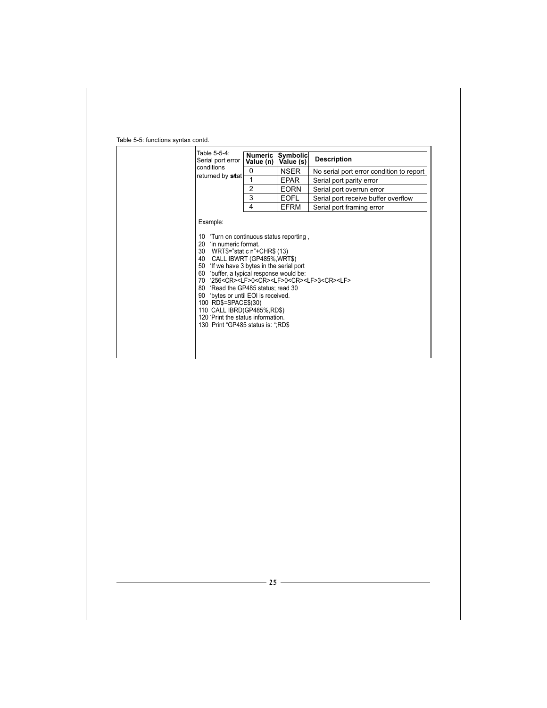| Table 5-5-4:<br>Serial port error                                                                                                                                                                                                                                                                                                                                                                                                                                                                        | Value (n) | Numeric Symbolic<br>Value (s) | <b>Description</b>                       |
|----------------------------------------------------------------------------------------------------------------------------------------------------------------------------------------------------------------------------------------------------------------------------------------------------------------------------------------------------------------------------------------------------------------------------------------------------------------------------------------------------------|-----------|-------------------------------|------------------------------------------|
| conditions                                                                                                                                                                                                                                                                                                                                                                                                                                                                                               | 0         | <b>NSER</b>                   | No serial port error condition to report |
| returned by stat                                                                                                                                                                                                                                                                                                                                                                                                                                                                                         | 1         | <b>EPAR</b>                   | Serial port parity error                 |
|                                                                                                                                                                                                                                                                                                                                                                                                                                                                                                          | 2         | <b>EORN</b>                   | Serial port overrun error                |
|                                                                                                                                                                                                                                                                                                                                                                                                                                                                                                          | 3         | <b>EOFL</b>                   | Serial port receive buffer overflow      |
|                                                                                                                                                                                                                                                                                                                                                                                                                                                                                                          | 4         | <b>EFRM</b>                   | Serial port framing error                |
| 20<br>'in numeric format.<br>30 WRT\$="stat c n"+CHR\$ (13)<br>CALL IBWRT (GP485%,WRT\$)<br>40<br>'If we have 3 bytes in the serial port<br>50<br>'buffer, a typical response would be:<br>60<br>70 '256 <cr><lf>0<cr><lf>0<cr><lf>3<cr><lf><br/>80 'Read the GP485 status; read 30<br/>90 bytes or until EOI is received.<br/>100 RD\$=SPACE\$(30)<br/>110 CALL IBRD(GP485%,RD\$)<br/>120 'Print the status information.<br/>130 Print "GP485 status is: ";RD\$</lf></cr></lf></cr></lf></cr></lf></cr> |           |                               |                                          |

#### Table 5-5: functions syntax contd.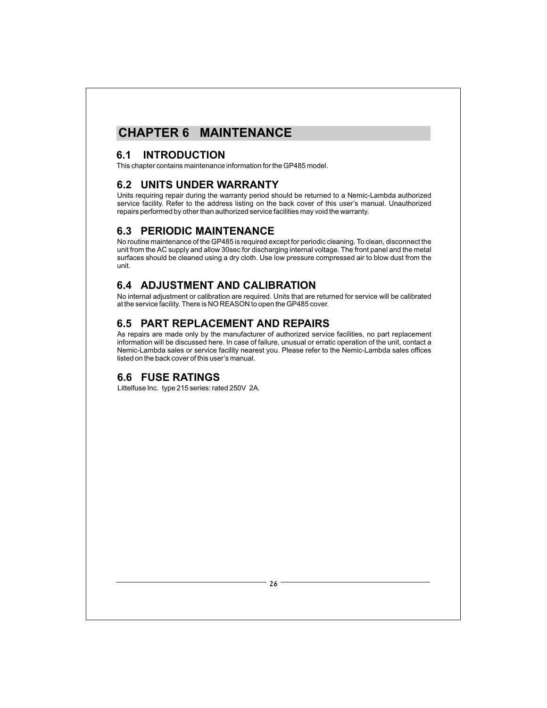# **CHAPTER 6 MAINTENANCE**

## **6.1 INTRODUCTION**

This chapter contains maintenance information for the GP485 model.

## **6.2 UNITS UNDER WARRANTY**

Units requiring repair during the warranty period should be returned to a Nemic-Lambda authorized service facility. Refer to the address listing on the back cover of this user's manual. Unauthorized repairs performed by other than authorized service facilities may void the warranty.

## **6.3 PERIODIC MAINTENANCE**

No routine maintenance of the GP485 is required except for periodic cleaning. To clean, disconnect the unit from the AC supply and allow 30sec for discharging internal voltage. The front panel and the metal surfaces should be cleaned using a dry cloth. Use low pressure compressed air to blow dust from the unit.

## **6.4 ADJUSTMENT AND CALIBRATION**

No internal adjustment or calibration are required. Units that are returned for service will be calibrated at the service facility. There is NO REASON to open the GP485 cover.

## **6.5 PART REPLACEMENT AND REPAIRS**

As repairs are made only by the manufacturer of authorized service facilities, no part replacement information will be discussed here. In case of failure, unusual or erratic operation of the unit, contact a Nemic-Lambda sales or service facility nearest you. Please refer to the Nemic-Lambda sales offices listed on the back cover of this user's manual.

## **6.6 FUSE RATINGS**

Littelfuse Inc. type 215 series: rated 250V 2A.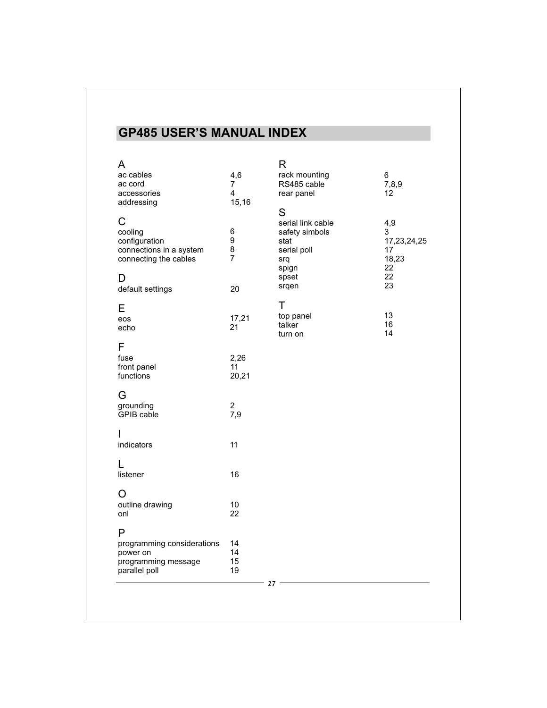# **GP485 USER'S MANUAL INDEX**

| A<br>ac cables<br>ac cord<br>accessories<br>addressing                            | 4,6<br>$\overline{7}$<br>4<br>15,16 | R<br>rack mounting<br>RS485 cable<br>rear panel                                 | 6<br>7,8,9<br>$12 \overline{ }$              |
|-----------------------------------------------------------------------------------|-------------------------------------|---------------------------------------------------------------------------------|----------------------------------------------|
| C<br>cooling<br>configuration<br>connections in a system<br>connecting the cables | $\,6$<br>9<br>8<br>7                | S<br>serial link cable<br>safety simbols<br>stat<br>serial poll<br>srq<br>spign | 4,9<br>3<br>17,23,24,25<br>17<br>18,23<br>22 |
| D<br>default settings                                                             | 20                                  | spset<br>srqen                                                                  | 22<br>23                                     |
| Е<br>eos<br>echo                                                                  | 17,21<br>21                         | т<br>top panel<br>talker<br>turn on                                             | 13<br>16<br>14                               |
| F<br>fuse<br>front panel<br>functions                                             | 2,26<br>11<br>20,21                 |                                                                                 |                                              |
| G<br>grounding<br>GPIB cable                                                      | $\boldsymbol{2}$<br>7,9             |                                                                                 |                                              |
| I<br>indicators                                                                   | 11                                  |                                                                                 |                                              |
| listener                                                                          | 16                                  |                                                                                 |                                              |
| O<br>outline drawing<br>onl                                                       | 10<br>22                            |                                                                                 |                                              |
| P                                                                                 |                                     |                                                                                 |                                              |
| programming considerations<br>power on<br>programming message<br>parallel poll    | 14<br>14<br>15<br>19                |                                                                                 |                                              |